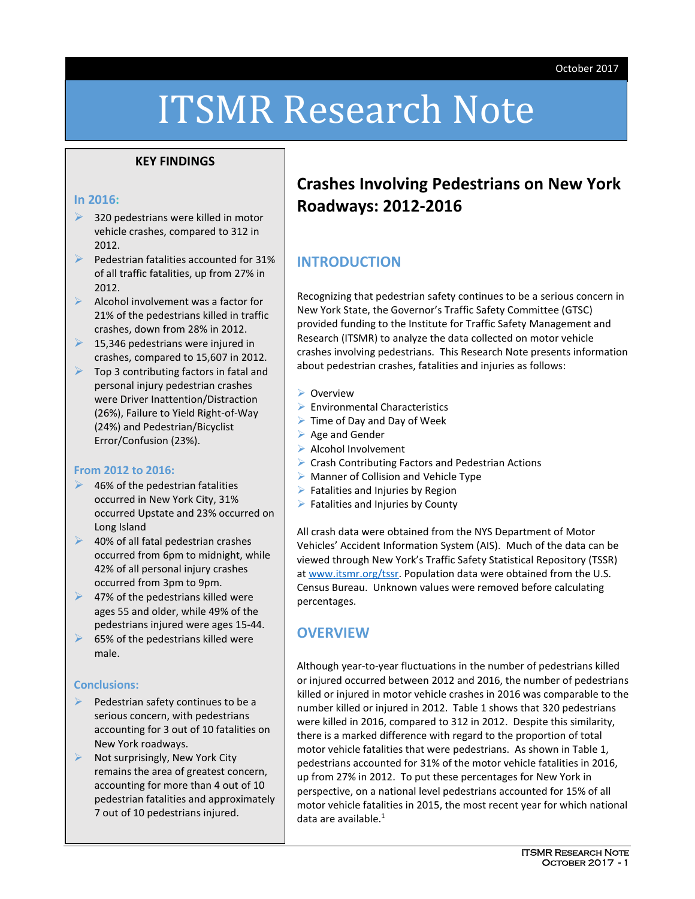# ITSMR Research Note

#### **KEY FINDINGS**

#### **In 2016:**

- 320 pedestrians were killed in motor vehicle crashes, compared to 312 in 2012.
- Pedestrian fatalities accounted for 31% of all traffic fatalities, up from 27% in 2012.
- $\blacktriangleright$  Alcohol involvement was a factor for 21% of the pedestrians killed in traffic crashes, down from 28% in 2012.
- $\geq$  15,346 pedestrians were injured in crashes, compared to 15,607 in 2012.
- $\triangleright$  Top 3 contributing factors in fatal and personal injury pedestrian crashes were Driver Inattention/Distraction (26%), Failure to Yield Right-of-Way (24%) and Pedestrian/Bicyclist Error/Confusion (23%).

#### **From 2012 to 2016:**

- $\blacktriangleright$  46% of the pedestrian fatalities occurred in New York City, 31% occurred Upstate and 23% occurred on Long Island
- **►** 40% of all fatal pedestrian crashes occurred from 6pm to midnight, while 42% of all personal injury crashes occurred from 3pm to 9pm.
- $\blacktriangleright$  47% of the pedestrians killed were ages 55 and older, while 49% of the pedestrians injured were ages 15-44.
- $\triangleright$  65% of the pedestrians killed were male.

#### **Conclusions:**

- Pedestrian safety continues to be a serious concern, with pedestrians accounting for 3 out of 10 fatalities on New York roadways.
- Not surprisingly, New York City remains the area of greatest concern, accounting for more than 4 out of 10 pedestrian fatalities and approximately 7 out of 10 pedestrians injured.

## **Crashes Involving Pedestrians on New York Roadways: 2012-2016**

#### **INTRODUCTION**

Recognizing that pedestrian safety continues to be a serious concern in New York State, the Governor's Traffic Safety Committee (GTSC) provided funding to the Institute for Traffic Safety Management and Research (ITSMR) to analyze the data collected on motor vehicle crashes involving pedestrians. This Research Note presents information about pedestrian crashes, fatalities and injuries as follows:

#### Overview

- $\triangleright$  Environmental Characteristics
- $\triangleright$  Time of Day and Day of Week
- $\triangleright$  Age and Gender
- $\triangleright$  Alcohol Involvement
- ▶ Crash Contributing Factors and Pedestrian Actions
- $\triangleright$  Manner of Collision and Vehicle Type
- $\triangleright$  Fatalities and Injuries by Region
- $\triangleright$  Fatalities and Injuries by County

All crash data were obtained from the NYS Department of Motor Vehicles' Accident Information System (AIS). Much of the data can be viewed through New York's Traffic Safety Statistical Repository (TSSR) at [www.itsmr.org/tssr.](http://www.itsmr.org/tssr) Population data were obtained from the U.S. Census Bureau. Unknown values were removed before calculating percentages.

#### **OVERVIEW**

Although year-to-year fluctuations in the number of pedestrians killed or injured occurred between 2012 and 2016, the number of pedestrians killed or injured in motor vehicle crashes in 2016 was comparable to the number killed or injured in 2012. Table 1 shows that 320 pedestrians were killed in 2016, compared to 312 in 2012. Despite this similarity, there is a marked difference with regard to the proportion of total motor vehicle fatalities that were pedestrians. As shown in Table 1, pedestrians accounted for 31% of the motor vehicle fatalities in 2016, up from 27% in 2012. To put these percentages for New York in perspective, on a national level pedestrians accounted for 15% of all motor vehicle fatalities in 2015, the most recent year for which national data are available. 1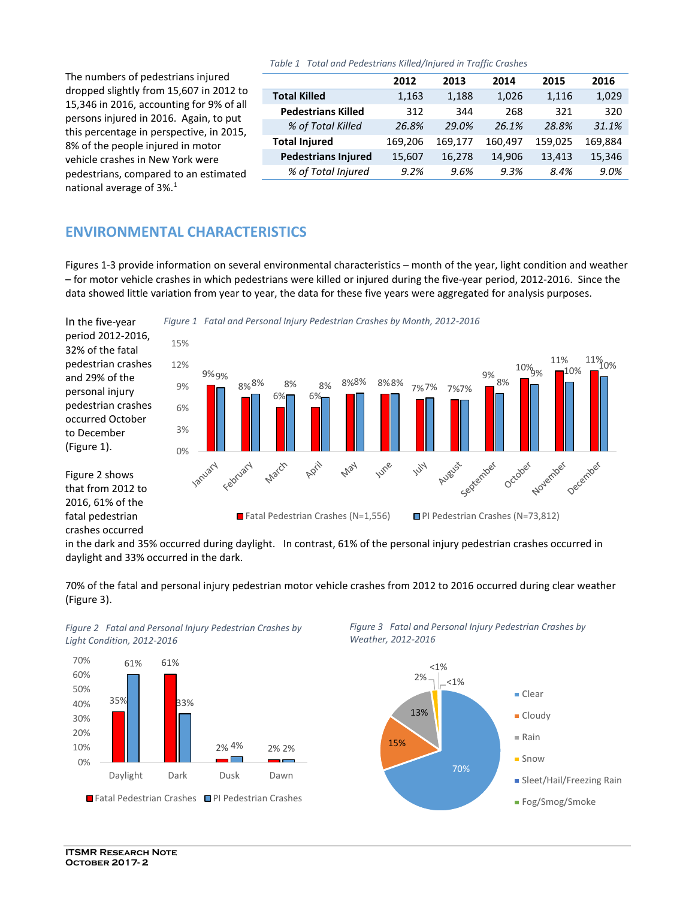*Table 1 Total and Pedestrians Killed/Injured in Traffic Crashes*

The numbers of pedestrians injured dropped slightly from 15,607 in 2012 to 15,346 in 2016, accounting for 9% of all persons injured in 2016. Again, to put this percentage in perspective, in 2015, 8% of the people injured in motor vehicle crashes in New York were pedestrians, compared to an estimated national average of  $3\%$ .<sup>1</sup>

|                            | 2012    | 2013    | 2014    | 2015    | 2016    |
|----------------------------|---------|---------|---------|---------|---------|
| <b>Total Killed</b>        | 1,163   | 1,188   | 1,026   | 1,116   | 1,029   |
| <b>Pedestrians Killed</b>  | 312     | 344     | 268     | 321     | 320     |
| % of Total Killed          | 26.8%   | 29.0%   | 26.1%   | 28.8%   | 31.1%   |
| <b>Total Injured</b>       | 169,206 | 169,177 | 160,497 | 159,025 | 169,884 |
| <b>Pedestrians Injured</b> | 15,607  | 16,278  | 14,906  | 13,413  | 15,346  |
| % of Total Injured         | 9.2%    | 9.6%    | 9.3%    | 8.4%    | 9.0%    |

## **ENVIRONMENTAL CHARACTERISTICS**

Figures 1-3 provide information on several environmental characteristics – month of the year, light condition and weather – for motor vehicle crashes in which pedestrians were killed or injured during the five-year period, 2012-2016. Since the data showed little variation from year to year, the data for these five years were aggregated for analysis purposes.

In the five-year period 2012-2016, 32% of the fatal pedestrian crashes and 29% of the personal injury pedestrian crashes occurred October to December (Figure 1).

Figure 2 shows that from 2012 to 2016, 61% of the fatal pedestrian crashes occurred

*Figure 1 Fatal and Personal Injury Pedestrian Crashes by Month, 2012-2016*



in the dark and 35% occurred during daylight. In contrast, 61% of the personal injury pedestrian crashes occurred in daylight and 33% occurred in the dark.

70% of the fatal and personal injury pedestrian motor vehicle crashes from 2012 to 2016 occurred during clear weather (Figure 3).



*Figure 2 Fatal and Personal Injury Pedestrian Crashes by Light Condition, 2012-2016*



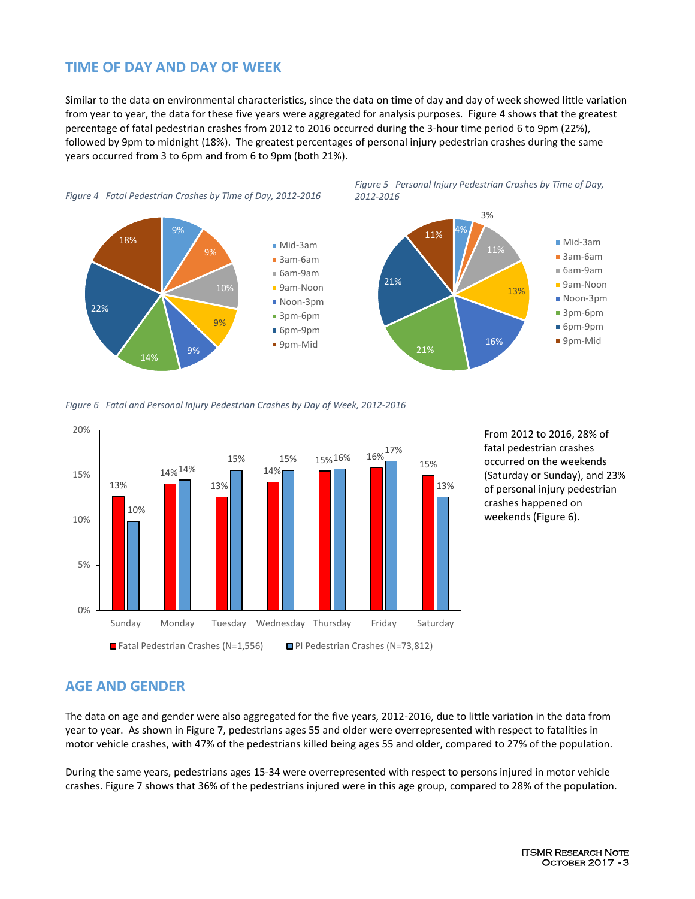## **TIME OF DAY AND DAY OF WEEK**

Similar to the data on environmental characteristics, since the data on time of day and day of week showed little variation from year to year, the data for these five years were aggregated for analysis purposes. Figure 4 shows that the greatest percentage of fatal pedestrian crashes from 2012 to 2016 occurred during the 3-hour time period 6 to 9pm (22%), followed by 9pm to midnight (18%). The greatest percentages of personal injury pedestrian crashes during the same years occurred from 3 to 6pm and from 6 to 9pm (both 21%).



*Figure 6 Fatal and Personal Injury Pedestrian Crashes by Day of Week, 2012-2016*



From 2012 to 2016, 28% of fatal pedestrian crashes occurred on the weekends (Saturday or Sunday), and 23% of personal injury pedestrian crashes happened on weekends (Figure 6).

## **AGE AND GENDER**

The data on age and gender were also aggregated for the five years, 2012-2016, due to little variation in the data from year to year. As shown in Figure 7, pedestrians ages 55 and older were overrepresented with respect to fatalities in motor vehicle crashes, with 47% of the pedestrians killed being ages 55 and older, compared to 27% of the population.

During the same years, pedestrians ages 15-34 were overrepresented with respect to persons injured in motor vehicle crashes. Figure 7 shows that 36% of the pedestrians injured were in this age group, compared to 28% of the population.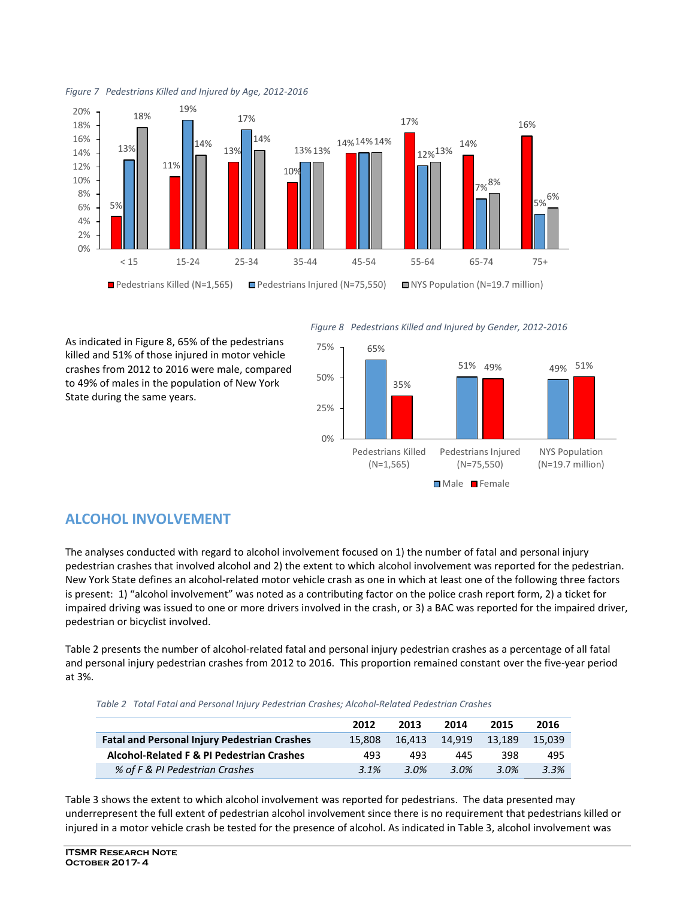



As indicated in Figure 8, 65% of the pedestrians killed and 51% of those injured in motor vehicle crashes from 2012 to 2016 were male, compared to 49% of males in the population of New York State during the same years.

*Figure 8 Pedestrians Killed and Injured by Gender, 2012-2016*



#### **ALCOHOL INVOLVEMENT**

The analyses conducted with regard to alcohol involvement focused on 1) the number of fatal and personal injury pedestrian crashes that involved alcohol and 2) the extent to which alcohol involvement was reported for the pedestrian. New York State defines an alcohol-related motor vehicle crash as one in which at least one of the following three factors is present: 1) "alcohol involvement" was noted as a contributing factor on the police crash report form, 2) a ticket for impaired driving was issued to one or more drivers involved in the crash, or 3) a BAC was reported for the impaired driver, pedestrian or bicyclist involved.

Table 2 presents the number of alcohol-related fatal and personal injury pedestrian crashes as a percentage of all fatal and personal injury pedestrian crashes from 2012 to 2016. This proportion remained constant over the five-year period at 3%.

*Table 2 Total Fatal and Personal Injury Pedestrian Crashes; Alcohol-Related Pedestrian Crashes*

|                                                     | 2012   | 2013   | 2014    | 2015             | 2016   |
|-----------------------------------------------------|--------|--------|---------|------------------|--------|
| <b>Fatal and Personal Injury Pedestrian Crashes</b> | 15.808 | 16.413 | 14.919  | 13.189           | 15.039 |
| Alcohol-Related F & PI Pedestrian Crashes           | 493    | 493    | 445     | 398              | 495    |
| % of F & PI Pedestrian Crashes                      | 3.1%   | 3.0%   | $3.0\%$ | 3 Q <sup>o</sup> | 3.3%   |

Table 3 shows the extent to which alcohol involvement was reported for pedestrians. The data presented may underrepresent the full extent of pedestrian alcohol involvement since there is no requirement that pedestrians killed or injured in a motor vehicle crash be tested for the presence of alcohol. As indicated in Table 3, alcohol involvement was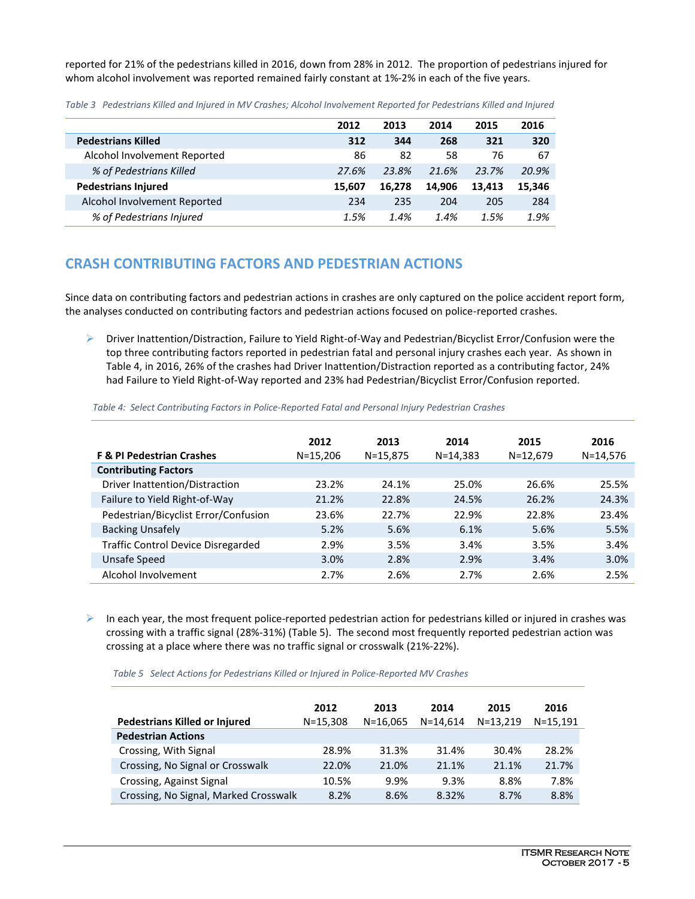reported for 21% of the pedestrians killed in 2016, down from 28% in 2012. The proportion of pedestrians injured for whom alcohol involvement was reported remained fairly constant at 1%-2% in each of the five years.

|                              | 2012   | 2013   | 2014   | 2015   | 2016   |
|------------------------------|--------|--------|--------|--------|--------|
| <b>Pedestrians Killed</b>    | 312    | 344    | 268    | 321    | 320    |
| Alcohol Involvement Reported | 86     | 82     | 58     | 76     | 67     |
| % of Pedestrians Killed      | 27.6%  | 23.8%  | 21.6%  | 23.7%  | 20.9%  |
| <b>Pedestrians Injured</b>   | 15.607 | 16.278 | 14.906 | 13.413 | 15,346 |
| Alcohol Involvement Reported | 234    | 235    | 204    | 205    | 284    |
| % of Pedestrians Injured     | 1.5%   | 1.4%   | 1.4%   | 1.5%   | 1.9%   |

*Table 3 Pedestrians Killed and Injured in MV Crashes; Alcohol Involvement Reported for Pedestrians Killed and Injured*

#### **CRASH CONTRIBUTING FACTORS AND PEDESTRIAN ACTIONS**

Since data on contributing factors and pedestrian actions in crashes are only captured on the police accident report form, the analyses conducted on contributing factors and pedestrian actions focused on police-reported crashes.

 Driver Inattention/Distraction, Failure to Yield Right-of-Way and Pedestrian/Bicyclist Error/Confusion were the top three contributing factors reported in pedestrian fatal and personal injury crashes each year. As shown in Table 4, in 2016, 26% of the crashes had Driver Inattention/Distraction reported as a contributing factor, 24% had Failure to Yield Right-of-Way reported and 23% had Pedestrian/Bicyclist Error/Confusion reported.

| Table 4: Select Contributing Factors in Police-Reported Fatal and Personal Injury Pedestrian Crashes |  |  |
|------------------------------------------------------------------------------------------------------|--|--|
|                                                                                                      |  |  |

|                                                                     | 2012         | 2013         | 2014         | 2015     | 2016         |
|---------------------------------------------------------------------|--------------|--------------|--------------|----------|--------------|
| <b>F &amp; PI Pedestrian Crashes</b><br><b>Contributing Factors</b> | $N = 15,206$ | $N = 15,875$ | $N = 14,383$ | N=12,679 | $N = 14,576$ |
| Driver Inattention/Distraction                                      | 23.2%        | 24.1%        | 25.0%        | 26.6%    | 25.5%        |
| Failure to Yield Right-of-Way                                       | 21.2%        | 22.8%        | 24.5%        | 26.2%    | 24.3%        |
| Pedestrian/Bicyclist Error/Confusion                                | 23.6%        | 22.7%        | 22.9%        | 22.8%    | 23.4%        |
| <b>Backing Unsafely</b>                                             | 5.2%         | 5.6%         | 6.1%         | 5.6%     | 5.5%         |
| <b>Traffic Control Device Disregarded</b>                           | 2.9%         | 3.5%         | 3.4%         | 3.5%     | 3.4%         |
| Unsafe Speed                                                        | 3.0%         | 2.8%         | 2.9%         | 3.4%     | 3.0%         |
| Alcohol Involvement                                                 | 2.7%         | 2.6%         | 2.7%         | 2.6%     | 2.5%         |

 $\triangleright$  In each year, the most frequent police-reported pedestrian action for pedestrians killed or injured in crashes was crossing with a traffic signal (28%-31%) (Table 5). The second most frequently reported pedestrian action was crossing at a place where there was no traffic signal or crosswalk (21%-22%).

 *Table 5 Select Actions for Pedestrians Killed or Injured in Police-Reported MV Crashes*

|                                       | 2012         | 2013         | 2014         | 2015         | 2016          |
|---------------------------------------|--------------|--------------|--------------|--------------|---------------|
| <b>Pedestrians Killed or Injured</b>  | $N = 15,308$ | $N = 16.065$ | $N = 14.614$ | $N = 13,219$ | $N = 15, 191$ |
| <b>Pedestrian Actions</b>             |              |              |              |              |               |
| Crossing, With Signal                 | 28.9%        | 31.3%        | 31.4%        | 30.4%        | 28.2%         |
| Crossing, No Signal or Crosswalk      | 22.0%        | 21.0%        | 21.1%        | 21.1%        | 21.7%         |
| Crossing, Against Signal              | 10.5%        | 9.9%         | 9.3%         | 8.8%         | 7.8%          |
| Crossing, No Signal, Marked Crosswalk | 8.2%         | 8.6%         | 8.32%        | 8.7%         | 8.8%          |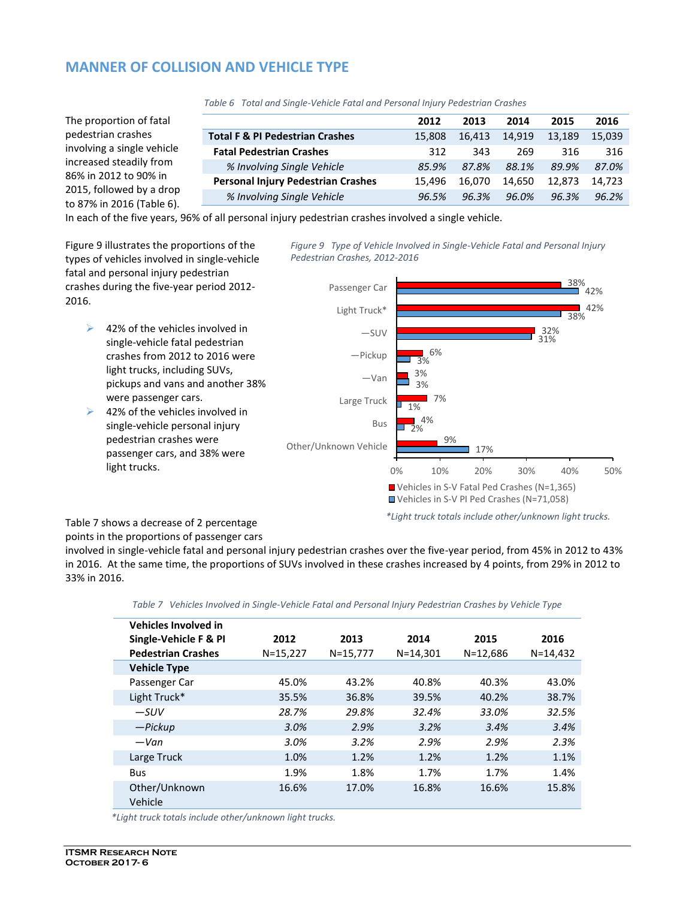## **MANNER OF COLLISION AND VEHICLE TYPE**

|                                            | 2012   | 2013   | 2014   | 2015   | 2016   |
|--------------------------------------------|--------|--------|--------|--------|--------|
| <b>Total F &amp; PI Pedestrian Crashes</b> | 15.808 | 16.413 | 14,919 | 13,189 | 15.039 |
| <b>Fatal Pedestrian Crashes</b>            | 312    | 343    | 269    | 316    | 316    |
| % Involving Single Vehicle                 | 85.9%  | 87.8%  | 88.1%  | 89.9%  | 87.0%  |
| <b>Personal Injury Pedestrian Crashes</b>  | 15.496 | 16.070 | 14.650 | 12.873 | 14.723 |
| % Involving Single Vehicle                 | 96.5%  | 96.3%  | 96.0%  | 96.3%  | 96.2%  |
|                                            |        |        |        |        |        |

 *Table 6 Total and Single-Vehicle Fatal and Personal Injury Pedestrian Crashes*

In each of the five years, 96% of all personal injury pedestrian crashes involved a single vehicle.

Figure 9 illustrates the proportions of the types of vehicles involved in single-vehicle fatal and personal injury pedestrian crashes during the five-year period 2012- 2016.

- $\geq$  42% of the vehicles involved in single-vehicle fatal pedestrian crashes from 2012 to 2016 were light trucks, including SUVs, pickups and vans and another 38% were passenger cars.
- $\geq$  42% of the vehicles involved in single-vehicle personal injury pedestrian crashes were passenger cars, and 38% were light trucks.

*Figure 9 Type of Vehicle Involved in Single-Vehicle Fatal and Personal Injury Pedestrian Crashes, 2012-2016*



Table 7 shows a decrease of 2 percentage points in the proportions of passenger cars

involved in single-vehicle fatal and personal injury pedestrian crashes over the five-year period, from 45% in 2012 to 43% in 2016. At the same time, the proportions of SUVs involved in these crashes increased by 4 points, from 29% in 2012 to 33% in 2016.

| <b>Vehicles Involved in</b> |              |          |              |              |              |
|-----------------------------|--------------|----------|--------------|--------------|--------------|
| Single-Vehicle F & PI       | 2012         | 2013     | 2014         | 2015         | 2016         |
| <b>Pedestrian Crashes</b>   | $N = 15,227$ | N=15,777 | $N = 14,301$ | $N = 12,686$ | $N = 14,432$ |
| <b>Vehicle Type</b>         |              |          |              |              |              |
| Passenger Car               | 45.0%        | 43.2%    | 40.8%        | 40.3%        | 43.0%        |
| Light Truck*                | 35.5%        | 36.8%    | 39.5%        | 40.2%        | 38.7%        |
| $-SUV$                      | 28.7%        | 29.8%    | 32.4%        | 33.0%        | 32.5%        |
| — Pickup                    | 3.0%         | 2.9%     | 3.2%         | 3.4%         | 3.4%         |
| $-Van$                      | 3.0%         | 3.2%     | 2.9%         | 2.9%         | 2.3%         |
| Large Truck                 | 1.0%         | 1.2%     | 1.2%         | 1.2%         | 1.1%         |
| <b>Bus</b>                  | 1.9%         | 1.8%     | 1.7%         | 1.7%         | 1.4%         |
| Other/Unknown<br>Vehicle    | 16.6%        | 17.0%    | 16.8%        | 16.6%        | 15.8%        |

*Table 7 Vehicles Involved in Single-Vehicle Fatal and Personal Injury Pedestrian Crashes by Vehicle Type*

*\*Light truck totals include other/unknown light trucks.*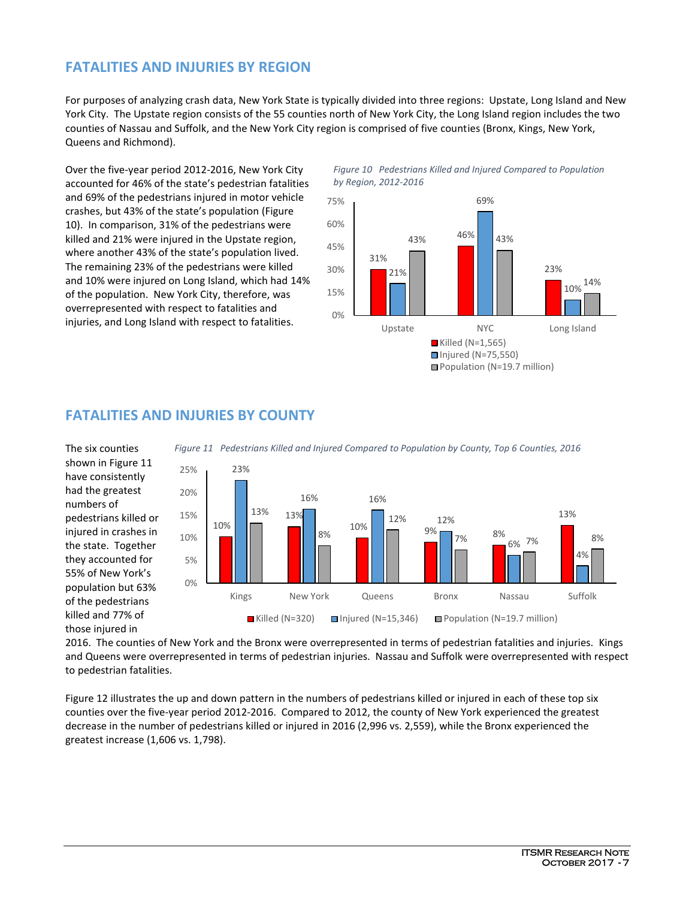## **FATALITIES AND INJURIES BY REGION**

For purposes of analyzing crash data, New York State is typically divided into three regions: Upstate, Long Island and New York City. The Upstate region consists of the 55 counties north of New York City, the Long Island region includes the two counties of Nassau and Suffolk, and the New York City region is comprised of five counties (Bronx, Kings, New York, Queens and Richmond).

Over the five-year period 2012-2016, New York City accounted for 46% of the state's pedestrian fatalities and 69% of the pedestrians injured in motor vehicle crashes, but 43% of the state's population (Figure 10). In comparison, 31% of the pedestrians were killed and 21% were injured in the Upstate region, where another 43% of the state's population lived. The remaining 23% of the pedestrians were killed and 10% were injured on Long Island, which had 14% of the population. New York City, therefore, was overrepresented with respect to fatalities and injuries, and Long Island with respect to fatalities.

#### *Figure 10 Pedestrians Killed and Injured Compared to Population by Region, 2012-2016*



#### **FATALITIES AND INJURIES BY COUNTY**

The six counties shown in Figure 11 have consistently had the greatest numbers of pedestrians killed or injured in crashes in the state. Together they accounted for 55% of New York's population but 63% of the pedestrians killed and 77% of those injured in



*Figure 11 Pedestrians Killed and Injured Compared to Population by County, Top 6 Counties, 2016*

2016. The counties of New York and the Bronx were overrepresented in terms of pedestrian fatalities and injuries. Kings and Queens were overrepresented in terms of pedestrian injuries. Nassau and Suffolk were overrepresented with respect to pedestrian fatalities.

Figure 12 illustrates the up and down pattern in the numbers of pedestrians killed or injured in each of these top six counties over the five-year period 2012-2016. Compared to 2012, the county of New York experienced the greatest decrease in the number of pedestrians killed or injured in 2016 (2,996 vs. 2,559), while the Bronx experienced the greatest increase (1,606 vs. 1,798).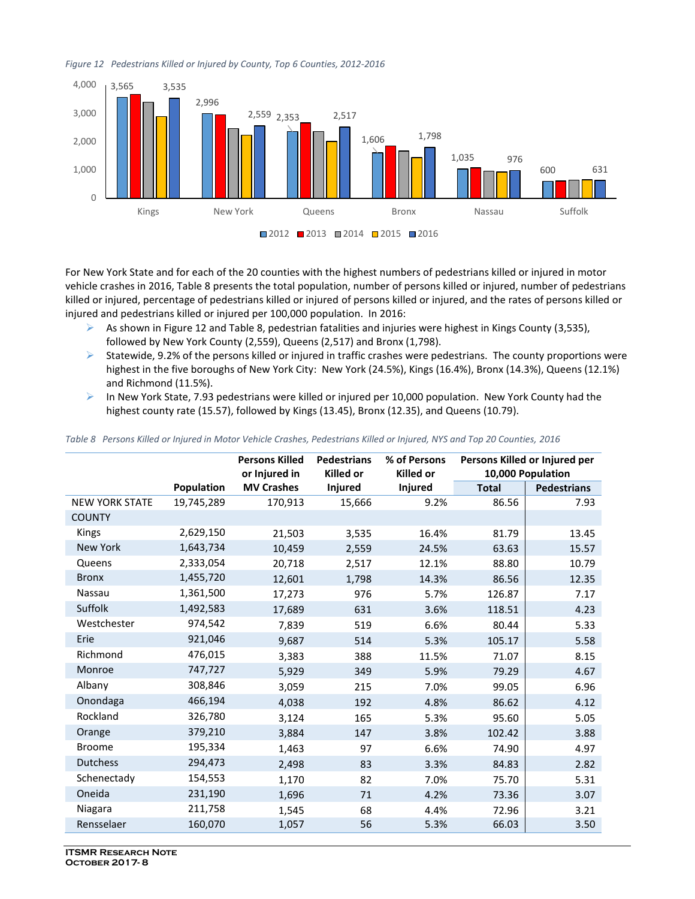



For New York State and for each of the 20 counties with the highest numbers of pedestrians killed or injured in motor vehicle crashes in 2016, Table 8 presents the total population, number of persons killed or injured, number of pedestrians killed or injured, percentage of pedestrians killed or injured of persons killed or injured, and the rates of persons killed or injured and pedestrians killed or injured per 100,000 population. In 2016:

- $\triangleright$  As shown in Figure 12 and Table 8, pedestrian fatalities and injuries were highest in Kings County (3,535), followed by New York County (2,559), Queens (2,517) and Bronx (1,798).
- $\triangleright$  Statewide, 9.2% of the persons killed or injured in traffic crashes were pedestrians. The county proportions were highest in the five boroughs of New York City: New York (24.5%), Kings (16.4%), Bronx (14.3%), Queens (12.1%) and Richmond (11.5%).
- $\triangleright$  In New York State, 7.93 pedestrians were killed or injured per 10,000 population. New York County had the highest county rate (15.57), followed by Kings (13.45), Bronx (12.35), and Queens (10.79).

|  | Table 8 Persons Killed or Injured in Motor Vehicle Crashes, Pedestrians Killed or Injured, NYS and Top 20 Counties, 2016 |  |  |  |  |
|--|--------------------------------------------------------------------------------------------------------------------------|--|--|--|--|
|--|--------------------------------------------------------------------------------------------------------------------------|--|--|--|--|

|                       |                   | <b>Persons Killed</b><br>or Injured in | <b>Pedestrians</b><br><b>Killed or</b> | % of Persons<br><b>Killed or</b> |              | Persons Killed or Injured per<br>10,000 Population |
|-----------------------|-------------------|----------------------------------------|----------------------------------------|----------------------------------|--------------|----------------------------------------------------|
|                       | <b>Population</b> | <b>MV Crashes</b>                      | <b>Injured</b>                         | <b>Injured</b>                   | <b>Total</b> | <b>Pedestrians</b>                                 |
| <b>NEW YORK STATE</b> | 19,745,289        | 170,913                                | 15,666                                 | 9.2%                             | 86.56        | 7.93                                               |
| <b>COUNTY</b>         |                   |                                        |                                        |                                  |              |                                                    |
| Kings                 | 2,629,150         | 21,503                                 | 3,535                                  | 16.4%                            | 81.79        | 13.45                                              |
| New York              | 1,643,734         | 10,459                                 | 2,559                                  | 24.5%                            | 63.63        | 15.57                                              |
| Queens                | 2,333,054         | 20,718                                 | 2,517                                  | 12.1%                            | 88.80        | 10.79                                              |
| <b>Bronx</b>          | 1,455,720         | 12,601                                 | 1,798                                  | 14.3%                            | 86.56        | 12.35                                              |
| Nassau                | 1,361,500         | 17,273                                 | 976                                    | 5.7%                             | 126.87       | 7.17                                               |
| Suffolk               | 1,492,583         | 17,689                                 | 631                                    | 3.6%                             | 118.51       | 4.23                                               |
| Westchester           | 974,542           | 7,839                                  | 519                                    | 6.6%                             | 80.44        | 5.33                                               |
| Erie                  | 921,046           | 9,687                                  | 514                                    | 5.3%                             | 105.17       | 5.58                                               |
| Richmond              | 476,015           | 3,383                                  | 388                                    | 11.5%                            | 71.07        | 8.15                                               |
| Monroe                | 747,727           | 5,929                                  | 349                                    | 5.9%                             | 79.29        | 4.67                                               |
| Albany                | 308,846           | 3,059                                  | 215                                    | 7.0%                             | 99.05        | 6.96                                               |
| Onondaga              | 466,194           | 4,038                                  | 192                                    | 4.8%                             | 86.62        | 4.12                                               |
| Rockland              | 326,780           | 3,124                                  | 165                                    | 5.3%                             | 95.60        | 5.05                                               |
| Orange                | 379,210           | 3,884                                  | 147                                    | 3.8%                             | 102.42       | 3.88                                               |
| <b>Broome</b>         | 195,334           | 1,463                                  | 97                                     | 6.6%                             | 74.90        | 4.97                                               |
| Dutchess              | 294,473           | 2,498                                  | 83                                     | 3.3%                             | 84.83        | 2.82                                               |
| Schenectady           | 154,553           | 1,170                                  | 82                                     | 7.0%                             | 75.70        | 5.31                                               |
| Oneida                | 231,190           | 1,696                                  | 71                                     | 4.2%                             | 73.36        | 3.07                                               |
| Niagara               | 211,758           | 1,545                                  | 68                                     | 4.4%                             | 72.96        | 3.21                                               |
| Rensselaer            | 160,070           | 1,057                                  | 56                                     | 5.3%                             | 66.03        | 3.50                                               |